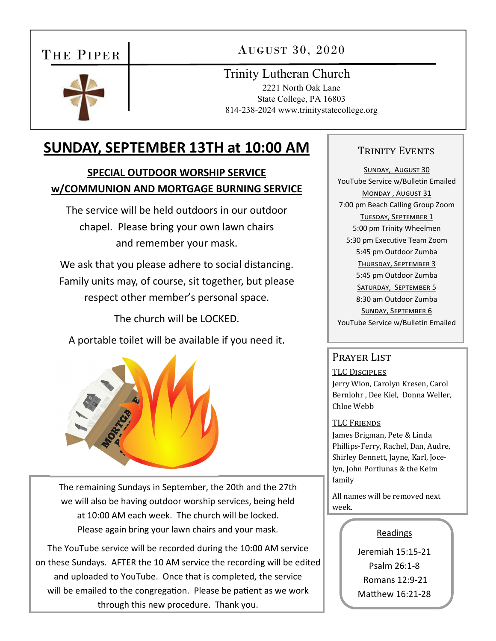# THE PIPER

AUGUST 30, 2020



Trinity Lutheran Church

2221 North Oak Lane State College, PA 16803 814-238-2024 www.trinitystatecollege.org

# **SUNDAY, SEPTEMBER 13TH at 10:00 AM**

## **SPECIAL OUTDOOR WORSHIP SERVICE w/COMMUNION AND MORTGAGE BURNING SERVICE**

The service will be held outdoors in our outdoor chapel. Please bring your own lawn chairs and remember your mask.

We ask that you please adhere to social distancing. Family units may, of course, sit together, but please respect other member's personal space.

The church will be LOCKED.

A portable toilet will be available if you need it.



The remaining Sundays in September, the 20th and the 27th we will also be having outdoor worship services, being held at 10:00 AM each week. The church will be locked. Please again bring your lawn chairs and your mask.

The YouTube service will be recorded during the 10:00 AM service on these Sundays. AFTER the 10 AM service the recording will be edited and uploaded to YouTube. Once that is completed, the service will be emailed to the congregation. Please be patient as we work through this new procedure. Thank you.

### TRINITY EVENTS

SUNDAY, AUGUST 30 YouTube Service w/Bulletin Emailed MONDAY, AUGUST 31 7:00 pm Beach Calling Group Zoom TUESDAY, SEPTEMBER 1 5:00 pm Trinity Wheelmen 5:30 pm Executive Team Zoom 5:45 pm Outdoor Zumba THURSDAY, SEPTEMBER 3 5:45 pm Outdoor Zumba SATURDAY, SEPTEMBER 5 8:30 am Outdoor Zumba SUNDAY, SEPTEMBER 6 YouTube Service w/Bulletin Emailed

#### Prayer List

TLC DISCIPLES

Jerry Wion, Carolyn Kresen, Carol Bernlohr , Dee Kiel, Donna Weller, Chloe Webb

#### TLC FRIENDS

James Brigman, Pete & Linda Phillips-Ferry, Rachel, Dan, Audre, Shirley Bennett, Jayne, Karl, Jocelyn, John Portlunas & the Keim family

All names will be removed next week.

#### Readings

Jeremiah 15:15‐21 Psalm 26:1‐8 Romans 12:9‐21 Matthew 16:21-28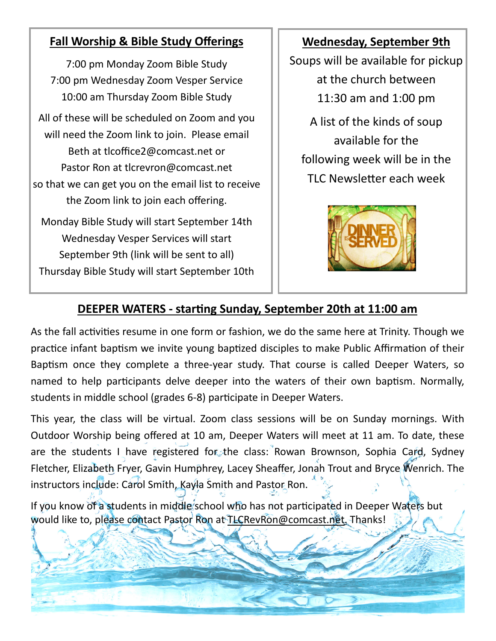# **Fall Worship & Bible Study Offerings**

7:00 pm Monday Zoom Bible Study 7:00 pm Wednesday Zoom Vesper Service 10:00 am Thursday Zoom Bible Study All of these will be scheduled on Zoom and you will need the Zoom link to join. Please email Beth at tlcoffice2@comcast.net or Pastor Ron at tlcrevron@comcast.net so that we can get you on the email list to receive the Zoom link to join each offering. Monday Bible Study will start September 14th Wednesday Vesper Services will start September 9th (link will be sent to all) Thursday Bible Study will start September 10th

## **Wednesday, September 9th**

Soups will be available for pickup at the church between 11:30 am and 1:00 pm

A list of the kinds of soup available for the following week will be in the TLC Newsletter each week



## **DEEPER WATERS ‐ starƟng Sunday, September 20th at 11:00 am**

As the fall activities resume in one form or fashion, we do the same here at Trinity. Though we practice infant baptism we invite young baptized disciples to make Public Affirmation of their Baptism once they complete a three-year study. That course is called Deeper Waters, so named to help participants delve deeper into the waters of their own baptism. Normally, students in middle school (grades 6-8) participate in Deeper Waters.

This year, the class will be virtual. Zoom class sessions will be on Sunday mornings. With Outdoor Worship being offered at 10 am, Deeper Waters will meet at 11 am. To date, these are the students I have registered for the class: Rowan Brownson, Sophia Card, Sydney Fletcher, Elizabeth Fryer, Gavin Humphrey, Lacey Sheaffer, Jonah Trout and Bryce Wenrich. The instructors include: Carol Smith, Kayla Smith and Pastor Ron.

If you know of a students in middle school who has not participated in Deeper Waters but would like to, please contact Pastor Ron at TLCRevRon@comcast.net. Thanks!